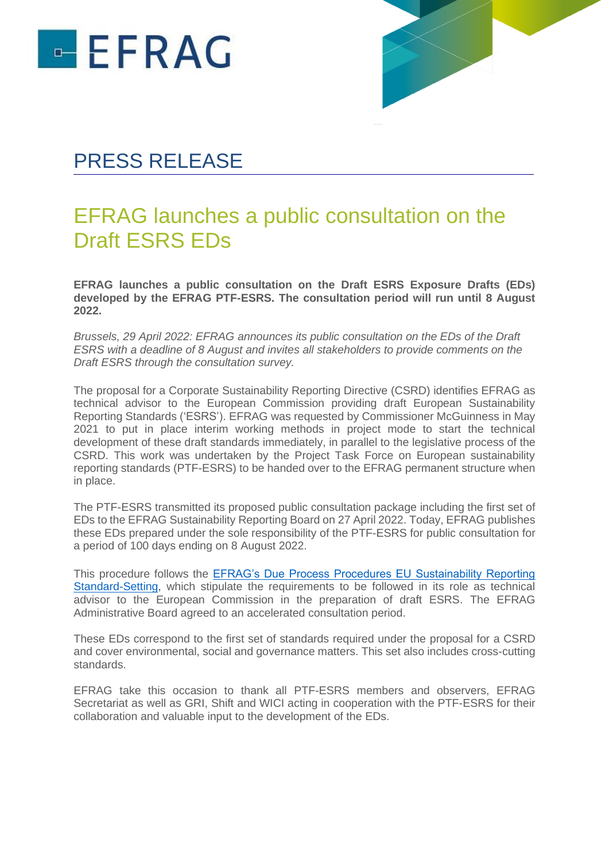



## PRESS RELEASE

### EFRAG launches a public consultation on the Draft ESRS EDs

**EFRAG launches a public consultation on the Draft ESRS Exposure Drafts (EDs) developed by the EFRAG PTF-ESRS. The consultation period will run until 8 August 2022.**

*Brussels, 29 April 2022: EFRAG announces its public consultation on the EDs of the Draft ESRS with a deadline of 8 August and invites all stakeholders to provide comments on the Draft ESRS through the consultation survey.* 

The proposal for a [Corporate Sustainability Reporting Directive](https://eur-lex.europa.eu/legal-content/EN/TXT/?uri=CELEX:52021PC0189) (CSRD) identifies EFRAG as technical advisor to the European Commission providing draft European Sustainability Reporting Standards ('ESRS'). EFRAG was requested by Commissioner McGuinness in May 2021 to put in place interim working methods in project mode to start the technical development of these draft standards immediately, in parallel to the legislative process of the CSRD. This work was undertaken by the Project Task Force on European sustainability reporting standards (PTF-ESRS) to be handed over to the EFRAG permanent structure when in place.

The PTF-ESRS transmitted its proposed public consultation package including the first set of EDs to the EFRAG Sustainability Reporting Board on 27 April 2022. Today, EFRAG publishes these EDs prepared under the sole responsibility of the PTF-ESRS for public consultation for a period of 100 days ending on 8 August 2022.

This procedure follows the [EFRAG's Due Process Procedures EU Sustainability Reporting](https://www.efrag.org/Assets/Download?assetUrl=%2fsites%2fwebpublishing%2fSiteAssets%2fEFRAG%2520Due%2520Process%2520Procedures%2520-%2520Approved%2520by%2520GA%252015-03-2022.pdf)  [Standard-Setting,](https://www.efrag.org/Assets/Download?assetUrl=%2fsites%2fwebpublishing%2fSiteAssets%2fEFRAG%2520Due%2520Process%2520Procedures%2520-%2520Approved%2520by%2520GA%252015-03-2022.pdf) which stipulate the requirements to be followed in its role as technical advisor to the European Commission in the preparation of draft ESRS. The EFRAG Administrative Board agreed to an accelerated consultation period.

These EDs correspond to the first set of standards required under the proposal for a CSRD and cover environmental, social and governance matters. This set also includes cross-cutting standards.

EFRAG take this occasion to thank all PTF-ESRS members and observers, EFRAG Secretariat as well as GRI, Shift and WICI acting in cooperation with the PTF-ESRS for their collaboration and valuable input to the development of the EDs.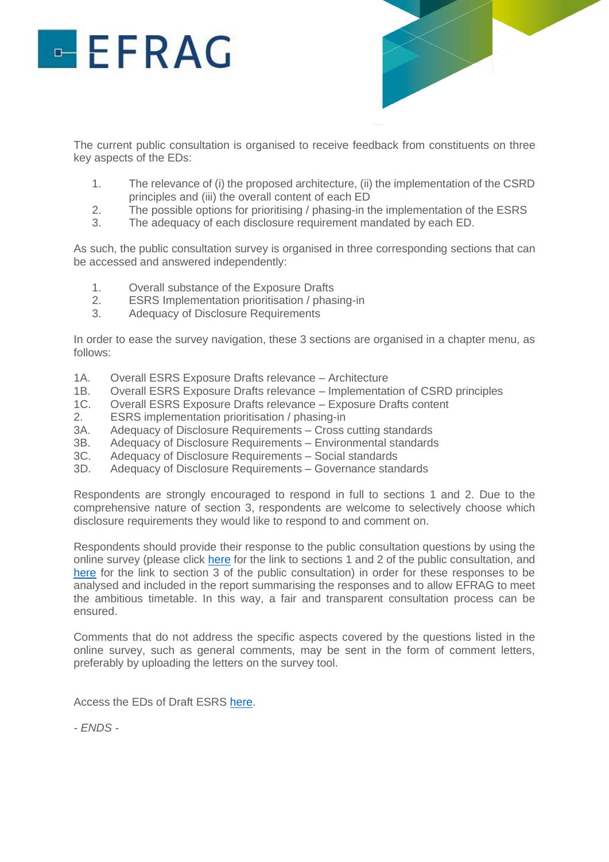# $EFRAG$



The current public consultation is organised to receive feedback from constituents on three key aspects of the EDs:

- 1. The relevance of (i) the proposed architecture, (ii) the implementation of the CSRD principles and (iii) the overall content of each ED
- 2. The possible options for prioritising / phasing-in the implementation of the ESRS
- 3. The adequacy of each disclosure requirement mandated by each ED.

As such, the public consultation survey is organised in three corresponding sections that can be accessed and answered independently:

- 1. Overall substance of the Exposure Drafts
- 2. ESRS Implementation prioritisation / phasing-in
- 3. Adequacy of Disclosure Requirements

In order to ease the survey navigation, these 3 sections are organised in a chapter menu, as follows:

- 1A. Overall ESRS Exposure Drafts relevance Architecture
- 1B. Overall ESRS Exposure Drafts relevance Implementation of CSRD principles
- 1C. Overall ESRS Exposure Drafts relevance Exposure Drafts content
- 2. ESRS implementation prioritisation / phasing-in
- 3A. Adequacy of Disclosure Requirements Cross cutting standards
- 3B. Adequacy of Disclosure Requirements Environmental standards
- 3C. Adequacy of Disclosure Requirements Social standards
- 3D. Adequacy of Disclosure Requirements Governance standards

Respondents are strongly encouraged to respond in full to sections 1 and 2. Due to the comprehensive nature of section 3, respondents are welcome to selectively choose which disclosure requirements they would like to respond to and comment on.

Respondents should provide their response to the public consultation questions by using the online survey (please click [here](https://ec.europa.eu/eusurvey/runner/042b2680-a71e-5ed3-11fd-84cc64eebf04) for the link to sections 1 and 2 of the public consultation, and [here](https://ec.europa.eu/eusurvey/runner/5948e319-2d2b-233b-7be5-980274eb1131) for the link to section 3 of the public consultation) in order for these responses to be analysed and included in the report summarising the responses and to allow EFRAG to meet the ambitious timetable. In this way, a fair and transparent consultation process can be ensured.

Comments that do not address the specific aspects covered by the questions listed in the online survey, such as general comments, may be sent in the form of comment letters, preferably by uploading the letters on the survey tool.

Access the EDs of Draft ESRS [here.](https://efrag.org/lab3)

*- ENDS -*